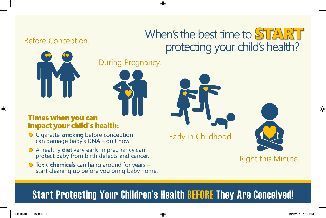### Before Conception.

# When's the best time to START protecting your child's health?



During Pregnancy.



#### Times when you can impact your child's health

- Cigarette **smoking** before conception can damage baby's DNA – quit now.
- A healthy **diet** very early in pregnancy can protect baby from birth defects and cancer.
- Toxic **chemicals** can hang around for years –<br>start cleaning up before you bring baby home.

Early in Childhood.

Right this Minute.

## **Start Protecting Your Children's Health BEFORE They Are Conceived!**